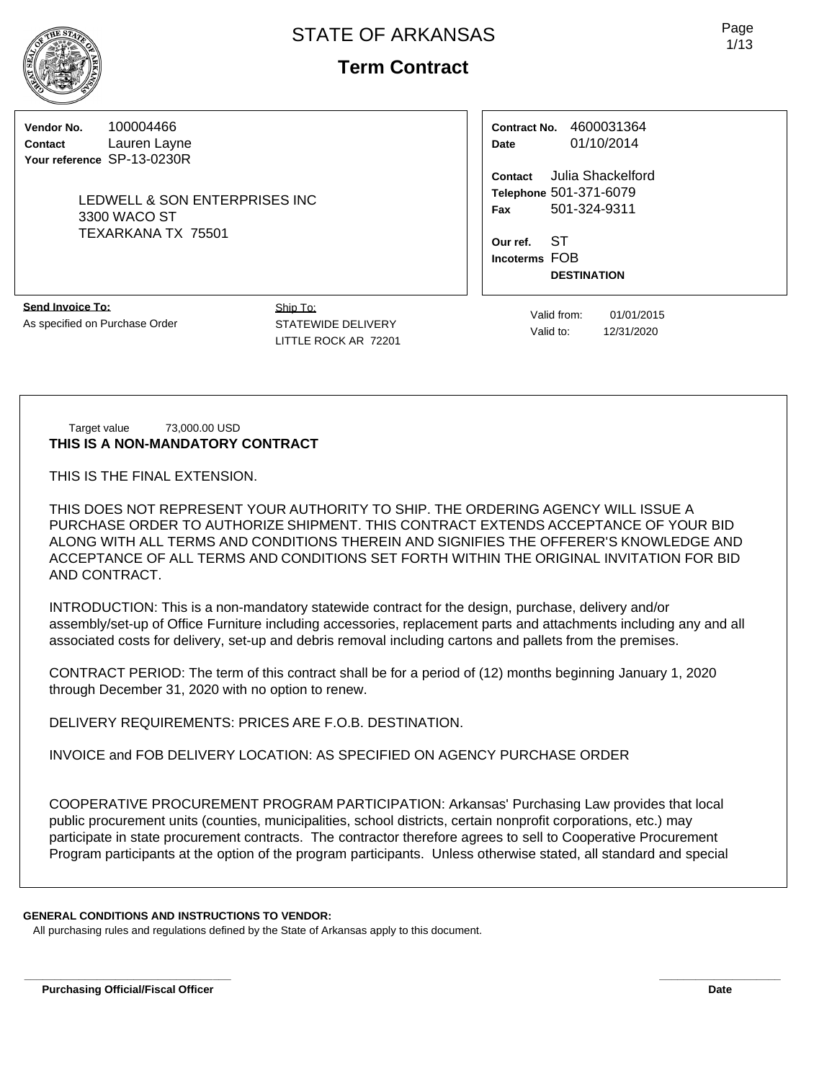**Term Contract**

**Vendor No.** 100004466 **Contact** Lauren Layne **Your reference** SP-13-0230R

> LEDWELL & SON ENTERPRISES INC 3300 WACO ST TEXARKANA TX 75501

**Contract No.** 4600031364 **Date** 01/10/2014

**Contact** Julia Shackelford **Telephone** 501-371-6079 **Fax** 501-324-9311

**Our ref.** ST **Incoterms** FOB **DESTINATION**

**Send Invoice To:** As specified on Purchase Order Ship To: STATEWIDE DELIVERY LITTLE ROCK AR 72201

Valid from: 01/01/2015 Valid to: 12/31/2020

Target value 73,000.00 USD **THIS IS A NON-MANDATORY CONTRACT**

THIS IS THE FINAL EXTENSION.

THIS DOES NOT REPRESENT YOUR AUTHORITY TO SHIP. THE ORDERING AGENCY WILL ISSUE A PURCHASE ORDER TO AUTHORIZE SHIPMENT. THIS CONTRACT EXTENDS ACCEPTANCE OF YOUR BID ALONG WITH ALL TERMS AND CONDITIONS THEREIN AND SIGNIFIES THE OFFERER'S KNOWLEDGE AND ACCEPTANCE OF ALL TERMS AND CONDITIONS SET FORTH WITHIN THE ORIGINAL INVITATION FOR BID AND CONTRACT.

INTRODUCTION: This is a non-mandatory statewide contract for the design, purchase, delivery and/or assembly/set-up of Office Furniture including accessories, replacement parts and attachments including any and all associated costs for delivery, set-up and debris removal including cartons and pallets from the premises.

CONTRACT PERIOD: The term of this contract shall be for a period of (12) months beginning January 1, 2020 through December 31, 2020 with no option to renew.

DELIVERY REQUIREMENTS: PRICES ARE F.O.B. DESTINATION.

INVOICE and FOB DELIVERY LOCATION: AS SPECIFIED ON AGENCY PURCHASE ORDER

COOPERATIVE PROCUREMENT PROGRAM PARTICIPATION: Arkansas' Purchasing Law provides that local public procurement units (counties, municipalities, school districts, certain nonprofit corporations, etc.) may participate in state procurement contracts. The contractor therefore agrees to sell to Cooperative Procurement Program participants at the option of the program participants. Unless otherwise stated, all standard and special

**\_\_\_\_\_\_\_\_\_\_\_\_\_\_\_\_\_\_\_\_\_\_\_\_\_\_\_\_\_\_\_\_\_\_ \_\_\_\_\_\_\_\_\_\_\_\_\_\_\_\_\_\_\_\_**

#### **GENERAL CONDITIONS AND INSTRUCTIONS TO VENDOR:**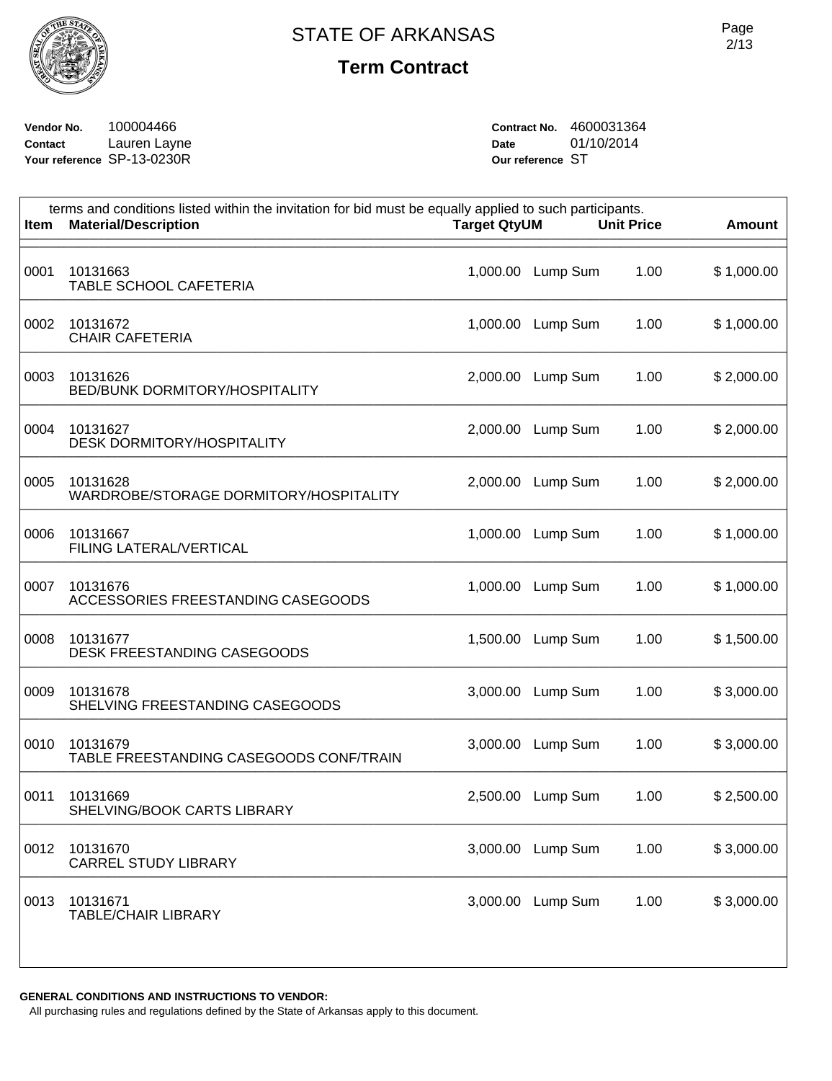

**Vendor No.** 100004466 **Contact** Lauren Layne **Your reference** SP-13-0230R **Contract No.** 4600031364 **Date** 01/10/2014 **Our reference** ST

| terms and conditions listed within the invitation for bid must be equally applied to such participants.<br><b>Material/Description</b><br><b>Unit Price</b><br><b>Target QtyUM</b><br><b>Item</b> |          |          |      |            |
|---------------------------------------------------------------------------------------------------------------------------------------------------------------------------------------------------|----------|----------|------|------------|
| 10131663<br><b>TABLE SCHOOL CAFETERIA</b>                                                                                                                                                         | 1,000.00 | Lump Sum | 1.00 | \$1,000.00 |
| 10131672<br><b>CHAIR CAFETERIA</b>                                                                                                                                                                | 1,000.00 | Lump Sum | 1.00 | \$1,000.00 |
| 10131626<br><b>BED/BUNK DORMITORY/HOSPITALITY</b>                                                                                                                                                 | 2,000.00 | Lump Sum | 1.00 | \$2,000.00 |
| 10131627<br><b>DESK DORMITORY/HOSPITALITY</b>                                                                                                                                                     | 2,000.00 | Lump Sum | 1.00 | \$2,000.00 |
| 10131628<br>WARDROBE/STORAGE DORMITORY/HOSPITALITY                                                                                                                                                | 2,000.00 | Lump Sum | 1.00 | \$2,000.00 |
| 10131667<br>FILING LATERAL/VERTICAL                                                                                                                                                               | 1,000.00 | Lump Sum | 1.00 | \$1,000.00 |
| 10131676<br>ACCESSORIES FREESTANDING CASEGOODS                                                                                                                                                    | 1,000.00 | Lump Sum | 1.00 | \$1,000.00 |
| 10131677<br>DESK FREESTANDING CASEGOODS                                                                                                                                                           | 1,500.00 | Lump Sum | 1.00 | \$1,500.00 |
| 10131678<br>SHELVING FREESTANDING CASEGOODS                                                                                                                                                       | 3,000.00 | Lump Sum | 1.00 | \$3,000.00 |
| 10131679<br>TABLE FREESTANDING CASEGOODS CONF/TRAIN                                                                                                                                               | 3,000.00 | Lump Sum | 1.00 | \$3,000.00 |
| 10131669<br>SHELVING/BOOK CARTS LIBRARY                                                                                                                                                           | 2,500.00 | Lump Sum | 1.00 | \$2,500.00 |
| 10131670<br><b>CARREL STUDY LIBRARY</b>                                                                                                                                                           | 3,000.00 | Lump Sum | 1.00 | \$3,000.00 |
| 10131671<br><b>TABLE/CHAIR LIBRARY</b>                                                                                                                                                            | 3,000.00 | Lump Sum | 1.00 | \$3,000.00 |
|                                                                                                                                                                                                   |          |          |      |            |

**GENERAL CONDITIONS AND INSTRUCTIONS TO VENDOR:**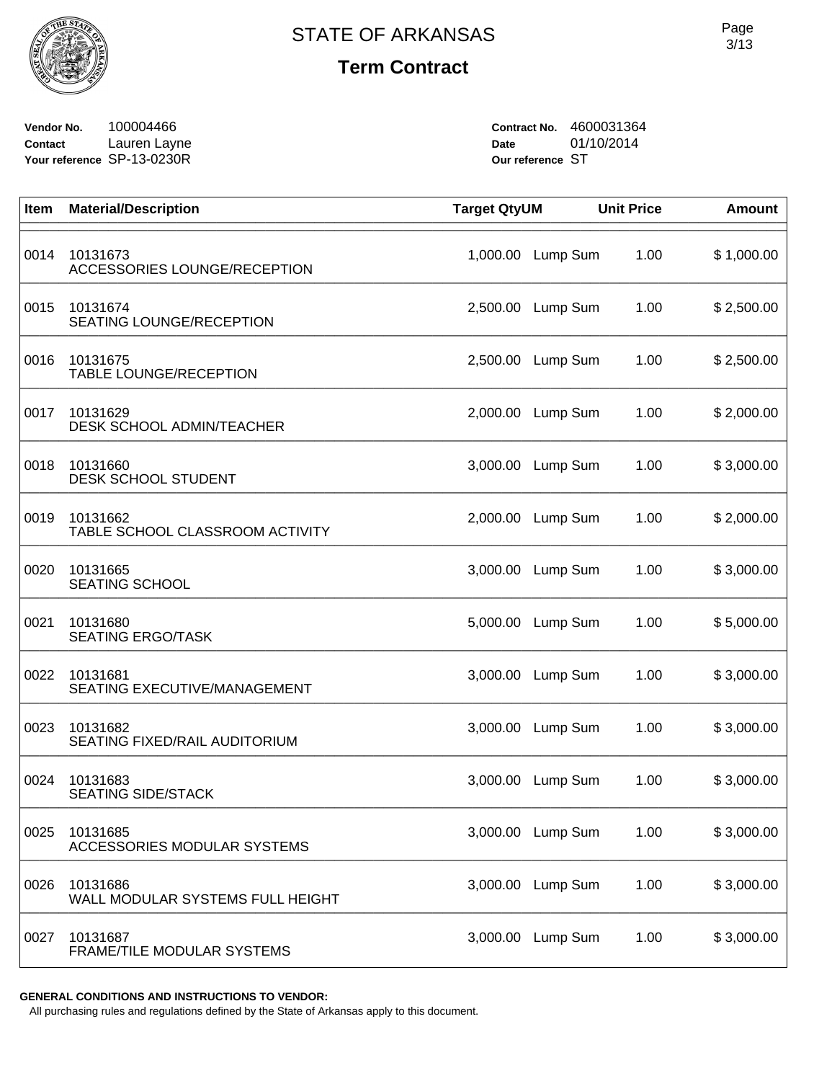

**Vendor No.** 100004466 **Contact** Lauren Layne **Your reference** SP-13-0230R **Contract No.** 4600031364 **Date** 01/10/2014 **Our reference** ST

| Item | <b>Material/Description</b>                    | <b>Target QtyUM</b> |                   | <b>Unit Price</b> | <b>Amount</b> |
|------|------------------------------------------------|---------------------|-------------------|-------------------|---------------|
| 0014 | 10131673<br>ACCESSORIES LOUNGE/RECEPTION       | 1,000.00            | Lump Sum          | 1.00              | \$1,000.00    |
| 0015 | 10131674<br>SEATING LOUNGE/RECEPTION           | 2,500.00            | Lump Sum          | 1.00              | \$2,500.00    |
| 0016 | 10131675<br>TABLE LOUNGE/RECEPTION             | 2,500.00            | Lump Sum          | 1.00              | \$2,500.00    |
| 0017 | 10131629<br>DESK SCHOOL ADMIN/TEACHER          | 2,000.00            | Lump Sum          | 1.00              | \$2,000.00    |
| 0018 | 10131660<br><b>DESK SCHOOL STUDENT</b>         | 3,000.00            | Lump Sum          | 1.00              | \$3,000.00    |
| 0019 | 10131662<br>TABLE SCHOOL CLASSROOM ACTIVITY    | 2,000.00            | Lump Sum          | 1.00              | \$2,000.00    |
| 0020 | 10131665<br><b>SEATING SCHOOL</b>              | 3,000.00            | Lump Sum          | 1.00              | \$3,000.00    |
| 0021 | 10131680<br><b>SEATING ERGO/TASK</b>           | 5,000.00            | Lump Sum          | 1.00              | \$5,000.00    |
| 0022 | 10131681<br>SEATING EXECUTIVE/MANAGEMENT       | 3,000.00            | Lump Sum          | 1.00              | \$3,000.00    |
| 0023 | 10131682<br>SEATING FIXED/RAIL AUDITORIUM      | 3,000.00            | Lump Sum          | 1.00              | \$3,000.00    |
| 0024 | 10131683<br><b>SEATING SIDE/STACK</b>          | 3,000.00            | Lump Sum          | 1.00              | \$3,000.00    |
| 0025 | 10131685<br><b>ACCESSORIES MODULAR SYSTEMS</b> |                     | 3,000.00 Lump Sum | 1.00              | \$3,000.00    |
| 0026 | 10131686<br>WALL MODULAR SYSTEMS FULL HEIGHT   | 3,000.00            | Lump Sum          | 1.00              | \$3,000.00    |
| 0027 | 10131687<br>FRAME/TILE MODULAR SYSTEMS         | 3,000.00            | Lump Sum          | 1.00              | \$3,000.00    |

**GENERAL CONDITIONS AND INSTRUCTIONS TO VENDOR:**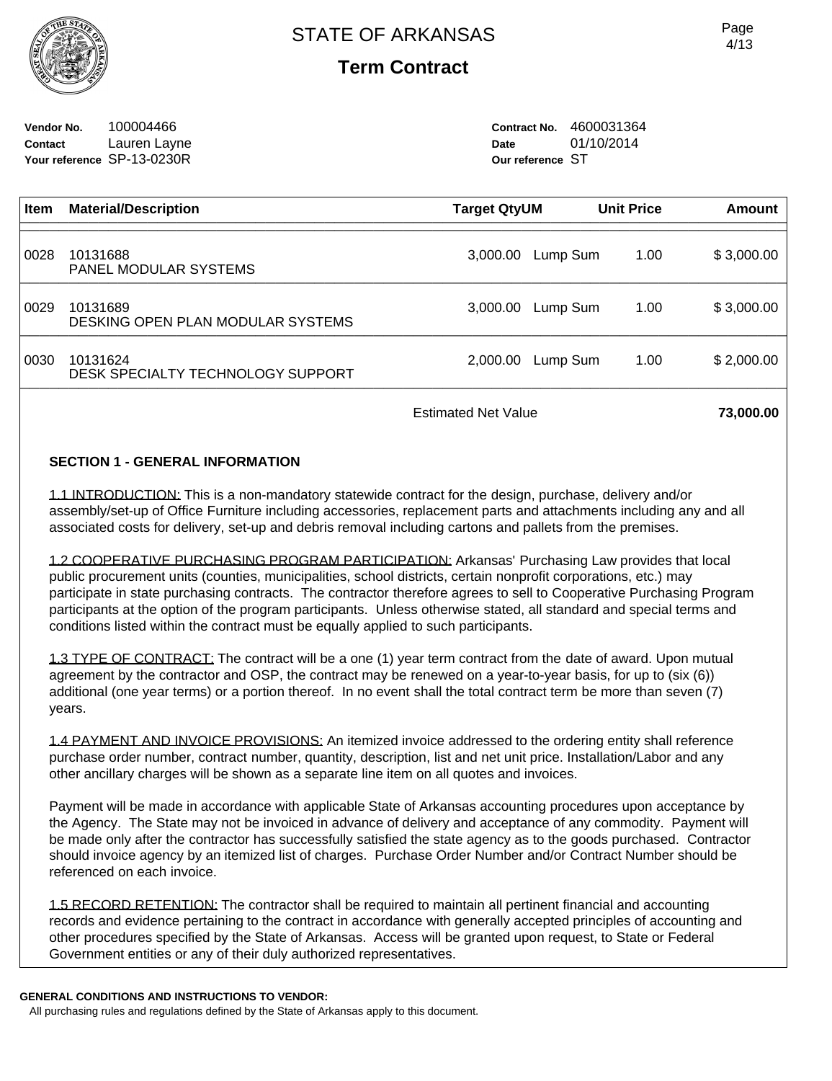

**Vendor No.** 100004466 **Contact** Lauren Layne **Your reference** SP-13-0230R **Contract No.** 4600031364 **Date** 01/10/2014 **Our reference** ST

| <b>Item</b> | <b>Material/Description</b>                   | Target QtyUM |          | <b>Unit Price</b> | Amount     |
|-------------|-----------------------------------------------|--------------|----------|-------------------|------------|
| 0028        | 10131688<br><b>PANEL MODULAR SYSTEMS</b>      | 3,000.00     | Lump Sum | 1.00              | \$3,000.00 |
| 0029        | 10131689<br>DESKING OPEN PLAN MODULAR SYSTEMS | 3,000.00     | Lump Sum | 1.00              | \$3,000.00 |
| 0030        | 10131624<br>DESK SPECIALTY TECHNOLOGY SUPPORT | 2.000.00     | Lump Sum | 1.00              | \$2,000.00 |
|             |                                               |              |          |                   |            |

Estimated Net Value **73,000.00** 

### **SECTION 1 - GENERAL INFORMATION**

1.1 INTRODUCTION: This is a non-mandatory statewide contract for the design, purchase, delivery and/or assembly/set-up of Office Furniture including accessories, replacement parts and attachments including any and all associated costs for delivery, set-up and debris removal including cartons and pallets from the premises.

1.2 COOPERATIVE PURCHASING PROGRAM PARTICIPATION: Arkansas' Purchasing Law provides that local public procurement units (counties, municipalities, school districts, certain nonprofit corporations, etc.) may participate in state purchasing contracts. The contractor therefore agrees to sell to Cooperative Purchasing Program participants at the option of the program participants. Unless otherwise stated, all standard and special terms and conditions listed within the contract must be equally applied to such participants.

1.3 TYPE OF CONTRACT: The contract will be a one (1) year term contract from the date of award. Upon mutual agreement by the contractor and OSP, the contract may be renewed on a year-to-year basis, for up to (six (6)) additional (one year terms) or a portion thereof. In no event shall the total contract term be more than seven (7) years.

1.4 PAYMENT AND INVOICE PROVISIONS: An itemized invoice addressed to the ordering entity shall reference purchase order number, contract number, quantity, description, list and net unit price. Installation/Labor and any other ancillary charges will be shown as a separate line item on all quotes and invoices.

Payment will be made in accordance with applicable State of Arkansas accounting procedures upon acceptance by the Agency. The State may not be invoiced in advance of delivery and acceptance of any commodity. Payment will be made only after the contractor has successfully satisfied the state agency as to the goods purchased. Contractor should invoice agency by an itemized list of charges. Purchase Order Number and/or Contract Number should be referenced on each invoice.

1.5 RECORD RETENTION: The contractor shall be required to maintain all pertinent financial and accounting records and evidence pertaining to the contract in accordance with generally accepted principles of accounting and other procedures specified by the State of Arkansas. Access will be granted upon request, to State or Federal Government entities or any of their duly authorized representatives.

#### **GENERAL CONDITIONS AND INSTRUCTIONS TO VENDOR:**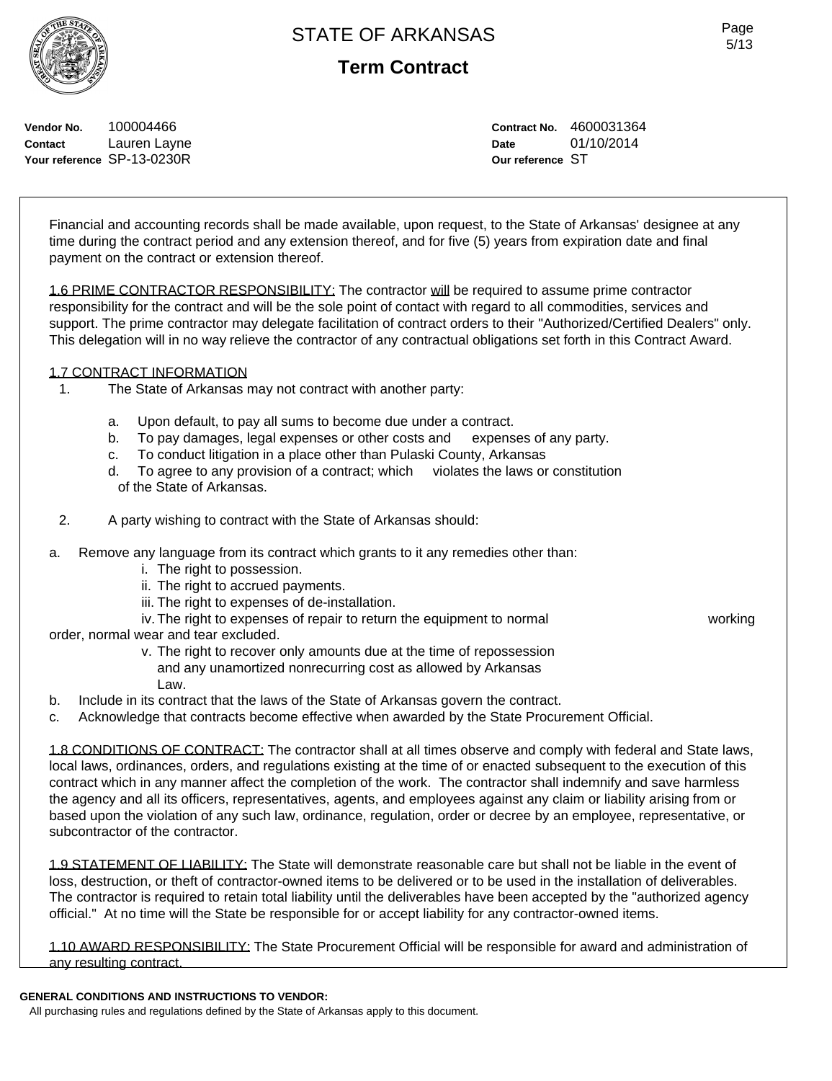# **Term Contract**

**Vendor No.** 100004466

**Contact** Lauren Layne **Your reference** SP-13-0230R

**Contract No.** 4600031364 **Date** 01/10/2014 **Our reference** ST

Financial and accounting records shall be made available, upon request, to the State of Arkansas' designee at any time during the contract period and any extension thereof, and for five (5) years from expiration date and final payment on the contract or extension thereof.

1.6 PRIME CONTRACTOR RESPONSIBILITY: The contractor will be required to assume prime contractor responsibility for the contract and will be the sole point of contact with regard to all commodities, services and support. The prime contractor may delegate facilitation of contract orders to their "Authorized/Certified Dealers" only. This delegation will in no way relieve the contractor of any contractual obligations set forth in this Contract Award.

#### 1.7 CONTRACT INFORMATION

- 1. The State of Arkansas may not contract with another party:
	- a. Upon default, to pay all sums to become due under a contract.
	- b. To pay damages, legal expenses or other costs and expenses of any party.
	- c. To conduct litigation in a place other than Pulaski County, Arkansas
	- d. To agree to any provision of a contract; which violates the laws or constitution of the State of Arkansas.
- 2. A party wishing to contract with the State of Arkansas should:
- a. Remove any language from its contract which grants to it any remedies other than:
	- i. The right to possession.
	- ii. The right to accrued payments.
	- iii. The right to expenses of de-installation.
	- iv. The right to expenses of repair to return the equipment to normal working

order, normal wear and tear excluded.

 v. The right to recover only amounts due at the time of repossession and any unamortized nonrecurring cost as allowed by Arkansas Law.

- b. Include in its contract that the laws of the State of Arkansas govern the contract.
- c. Acknowledge that contracts become effective when awarded by the State Procurement Official.

1.8 CONDITIONS OF CONTRACT: The contractor shall at all times observe and comply with federal and State laws, local laws, ordinances, orders, and regulations existing at the time of or enacted subsequent to the execution of this contract which in any manner affect the completion of the work. The contractor shall indemnify and save harmless the agency and all its officers, representatives, agents, and employees against any claim or liability arising from or based upon the violation of any such law, ordinance, regulation, order or decree by an employee, representative, or subcontractor of the contractor.

1.9 STATEMENT OF LIABILITY: The State will demonstrate reasonable care but shall not be liable in the event of loss, destruction, or theft of contractor-owned items to be delivered or to be used in the installation of deliverables. The contractor is required to retain total liability until the deliverables have been accepted by the "authorized agency official." At no time will the State be responsible for or accept liability for any contractor-owned items.

1.10 AWARD RESPONSIBILITY: The State Procurement Official will be responsible for award and administration of any resulting contract.

#### **GENERAL CONDITIONS AND INSTRUCTIONS TO VENDOR:**

All purchasing rules and regulations defined by the State of Arkansas apply to this document.



Page 5/13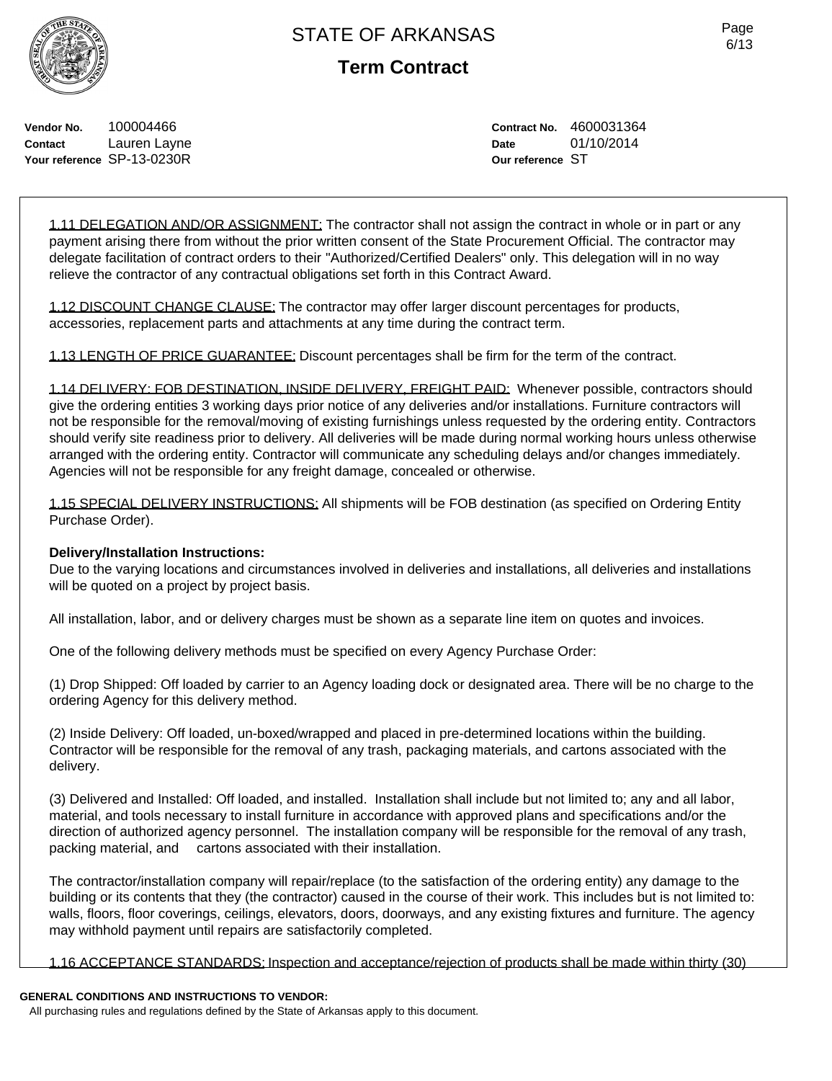Page 6/13

**Vendor No.** 100004466 **Contact** Lauren Layne **Your reference** SP-13-0230R **Contract No.** 4600031364 **Date** 01/10/2014 **Our reference** ST

1.11 DELEGATION AND/OR ASSIGNMENT: The contractor shall not assign the contract in whole or in part or any payment arising there from without the prior written consent of the State Procurement Official. The contractor may delegate facilitation of contract orders to their "Authorized/Certified Dealers" only. This delegation will in no way relieve the contractor of any contractual obligations set forth in this Contract Award.

1.12 DISCOUNT CHANGE CLAUSE: The contractor may offer larger discount percentages for products, accessories, replacement parts and attachments at any time during the contract term.

1.13 LENGTH OF PRICE GUARANTEE: Discount percentages shall be firm for the term of the contract.

1.14 DELIVERY: FOB DESTINATION, INSIDE DELIVERY, FREIGHT PAID: Whenever possible, contractors should give the ordering entities 3 working days prior notice of any deliveries and/or installations. Furniture contractors will not be responsible for the removal/moving of existing furnishings unless requested by the ordering entity. Contractors should verify site readiness prior to delivery. All deliveries will be made during normal working hours unless otherwise arranged with the ordering entity. Contractor will communicate any scheduling delays and/or changes immediately. Agencies will not be responsible for any freight damage, concealed or otherwise.

1.15 SPECIAL DELIVERY INSTRUCTIONS: All shipments will be FOB destination (as specified on Ordering Entity Purchase Order).

#### **Delivery/Installation Instructions:**

Due to the varying locations and circumstances involved in deliveries and installations, all deliveries and installations will be quoted on a project by project basis.

All installation, labor, and or delivery charges must be shown as a separate line item on quotes and invoices.

One of the following delivery methods must be specified on every Agency Purchase Order:

(1) Drop Shipped: Off loaded by carrier to an Agency loading dock or designated area. There will be no charge to the ordering Agency for this delivery method.

(2) Inside Delivery: Off loaded, un-boxed/wrapped and placed in pre-determined locations within the building. Contractor will be responsible for the removal of any trash, packaging materials, and cartons associated with the delivery.

(3) Delivered and Installed: Off loaded, and installed. Installation shall include but not limited to; any and all labor, material, and tools necessary to install furniture in accordance with approved plans and specifications and/or the direction of authorized agency personnel. The installation company will be responsible for the removal of any trash, packing material, and cartons associated with their installation.

The contractor/installation company will repair/replace (to the satisfaction of the ordering entity) any damage to the building or its contents that they (the contractor) caused in the course of their work. This includes but is not limited to: walls, floors, floor coverings, ceilings, elevators, doors, doorways, and any existing fixtures and furniture. The agency may withhold payment until repairs are satisfactorily completed.

1.16 ACCEPTANCE STANDARDS: Inspection and acceptance/rejection of products shall be made within thirty (30)

### **GENERAL CONDITIONS AND INSTRUCTIONS TO VENDOR:**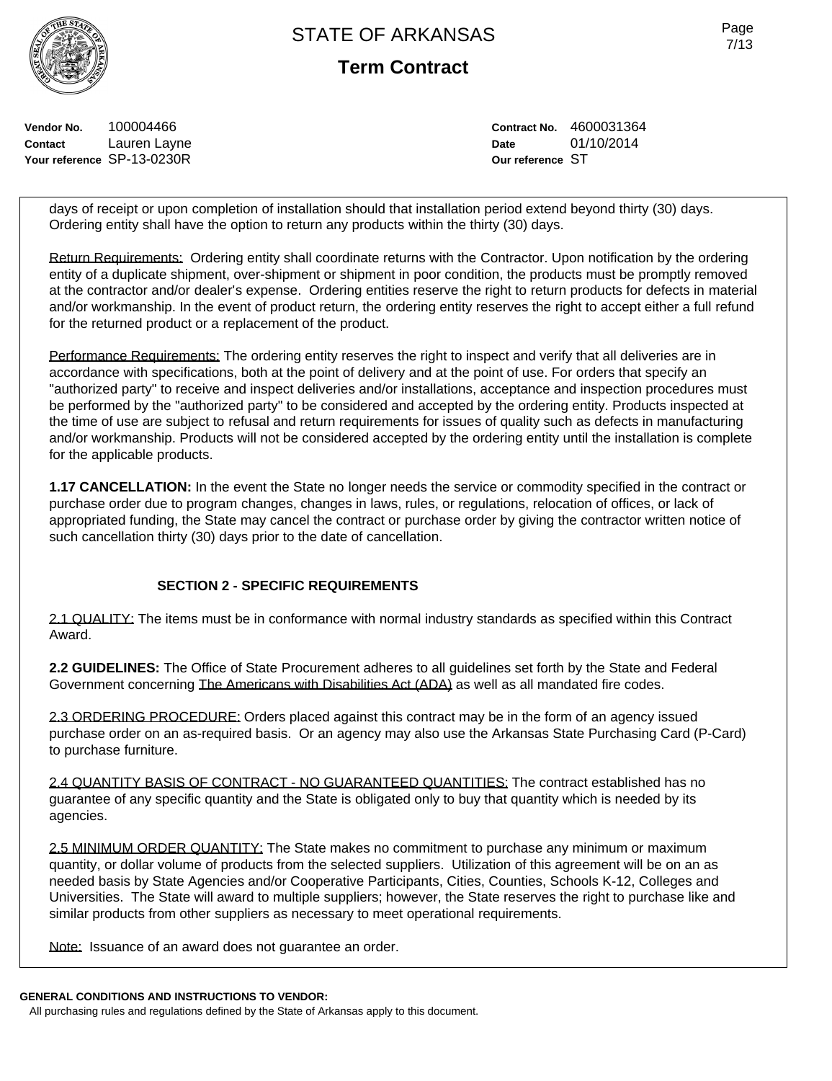**Term Contract**

**Vendor No.** 100004466 **Contact** Lauren Layne **Your reference** SP-13-0230R

**Contract No.** 4600031364 **Date** 01/10/2014 **Our reference** ST

days of receipt or upon completion of installation should that installation period extend beyond thirty (30) days. Ordering entity shall have the option to return any products within the thirty (30) days.

Return Requirements: Ordering entity shall coordinate returns with the Contractor. Upon notification by the ordering entity of a duplicate shipment, over-shipment or shipment in poor condition, the products must be promptly removed at the contractor and/or dealer's expense. Ordering entities reserve the right to return products for defects in material and/or workmanship. In the event of product return, the ordering entity reserves the right to accept either a full refund for the returned product or a replacement of the product.

Performance Requirements: The ordering entity reserves the right to inspect and verify that all deliveries are in accordance with specifications, both at the point of delivery and at the point of use. For orders that specify an "authorized party" to receive and inspect deliveries and/or installations, acceptance and inspection procedures must be performed by the "authorized party" to be considered and accepted by the ordering entity. Products inspected at the time of use are subject to refusal and return requirements for issues of quality such as defects in manufacturing and/or workmanship. Products will not be considered accepted by the ordering entity until the installation is complete for the applicable products.

**1.17 CANCELLATION:** In the event the State no longer needs the service or commodity specified in the contract or purchase order due to program changes, changes in laws, rules, or regulations, relocation of offices, or lack of appropriated funding, the State may cancel the contract or purchase order by giving the contractor written notice of such cancellation thirty (30) days prior to the date of cancellation.

#### **SECTION 2 - SPECIFIC REQUIREMENTS**

2.1 QUALITY: The items must be in conformance with normal industry standards as specified within this Contract Award.

**2.2 GUIDELINES:** The Office of State Procurement adheres to all guidelines set forth by the State and Federal Government concerning The Americans with Disabilities Act (ADA) as well as all mandated fire codes.

2.3 ORDERING PROCEDURE: Orders placed against this contract may be in the form of an agency issued purchase order on an as-required basis. Or an agency may also use the Arkansas State Purchasing Card (P-Card) to purchase furniture.

2.4 QUANTITY BASIS OF CONTRACT - NO GUARANTEED QUANTITIES: The contract established has no guarantee of any specific quantity and the State is obligated only to buy that quantity which is needed by its agencies.

2.5 MINIMUM ORDER QUANTITY: The State makes no commitment to purchase any minimum or maximum quantity, or dollar volume of products from the selected suppliers. Utilization of this agreement will be on an as needed basis by State Agencies and/or Cooperative Participants, Cities, Counties, Schools K-12, Colleges and Universities. The State will award to multiple suppliers; however, the State reserves the right to purchase like and similar products from other suppliers as necessary to meet operational requirements.

Note: Issuance of an award does not guarantee an order.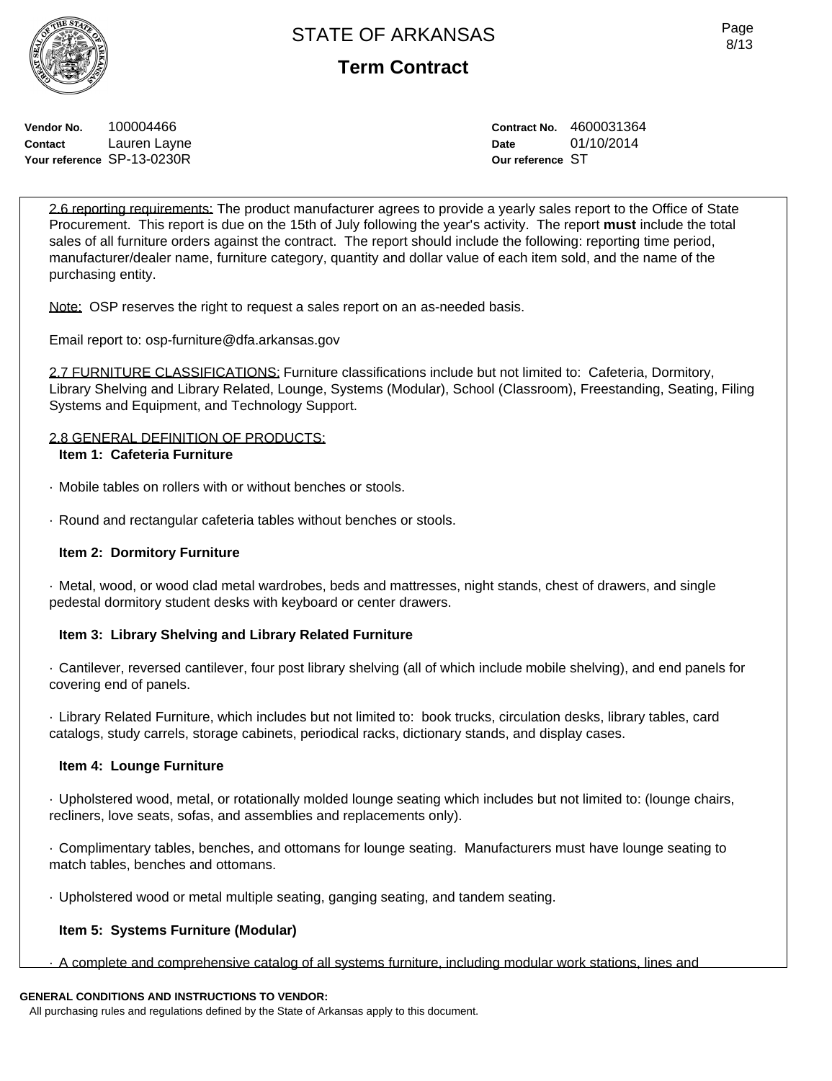**Vendor No.** 100004466 **Contact** Lauren Layne **Your reference** SP-13-0230R

**Contract No.** 4600031364 **Date** 01/10/2014 **Our reference** ST

2.6 reporting requirements: The product manufacturer agrees to provide a yearly sales report to the Office of State Procurement. This report is due on the 15th of July following the year's activity. The report **must** include the total sales of all furniture orders against the contract. The report should include the following: reporting time period, manufacturer/dealer name, furniture category, quantity and dollar value of each item sold, and the name of the purchasing entity.

Note: OSP reserves the right to request a sales report on an as-needed basis.

Email report to: osp-furniture@dfa.arkansas.gov

2.7 FURNITURE CLASSIFICATIONS: Furniture classifications include but not limited to: Cafeteria, Dormitory, Library Shelving and Library Related, Lounge, Systems (Modular), School (Classroom), Freestanding, Seating, Filing Systems and Equipment, and Technology Support.

#### 2.8 GENERAL DEFINITION OF PRODUCTS: **Item 1: Cafeteria Furniture**

- · Mobile tables on rollers with or without benches or stools.
- · Round and rectangular cafeteria tables without benches or stools.

### **Item 2: Dormitory Furniture**

· Metal, wood, or wood clad metal wardrobes, beds and mattresses, night stands, chest of drawers, and single pedestal dormitory student desks with keyboard or center drawers.

### **Item 3: Library Shelving and Library Related Furniture**

· Cantilever, reversed cantilever, four post library shelving (all of which include mobile shelving), and end panels for covering end of panels.

· Library Related Furniture, which includes but not limited to: book trucks, circulation desks, library tables, card catalogs, study carrels, storage cabinets, periodical racks, dictionary stands, and display cases.

### **Item 4: Lounge Furniture**

· Upholstered wood, metal, or rotationally molded lounge seating which includes but not limited to: (lounge chairs, recliners, love seats, sofas, and assemblies and replacements only).

· Complimentary tables, benches, and ottomans for lounge seating. Manufacturers must have lounge seating to match tables, benches and ottomans.

· Upholstered wood or metal multiple seating, ganging seating, and tandem seating.

#### **Item 5: Systems Furniture (Modular)**

· A complete and comprehensive catalog of all systems furniture, including modular work stations, lines and

### **GENERAL CONDITIONS AND INSTRUCTIONS TO VENDOR:**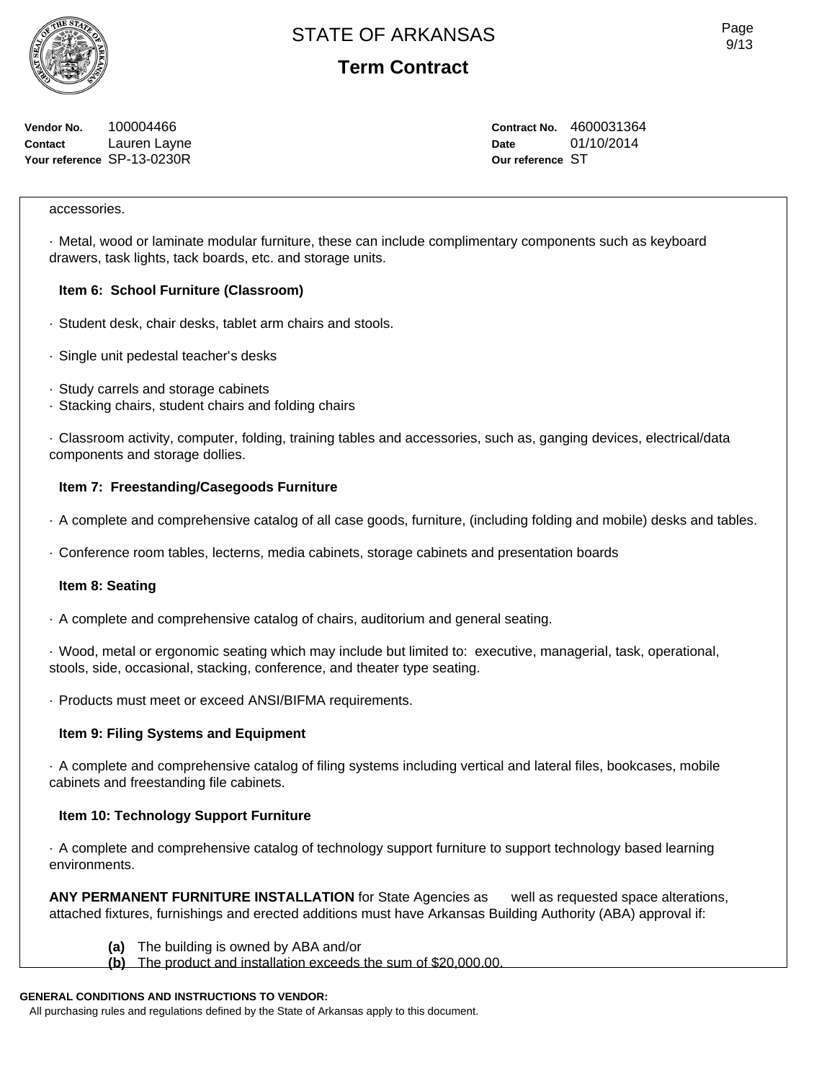**Vendor No.** 100004466 **Contact** Lauren Layne **Your reference** SP-13-0230R

**Contract No.** 4600031364 **Date** 01/10/2014 **Our reference** ST

#### accessories.

· Metal, wood or laminate modular furniture, these can include complimentary components such as keyboard drawers, task lights, tack boards, etc. and storage units.

#### **Item 6: School Furniture (Classroom)**

- · Student desk, chair desks, tablet arm chairs and stools.
- · Single unit pedestal teacher's desks
- · Study carrels and storage cabinets
- · Stacking chairs, student chairs and folding chairs

· Classroom activity, computer, folding, training tables and accessories, such as, ganging devices, electrical/data components and storage dollies.

#### **Item 7: Freestanding/Casegoods Furniture**

- · A complete and comprehensive catalog of all case goods, furniture, (including folding and mobile) desks and tables.
- · Conference room tables, lecterns, media cabinets, storage cabinets and presentation boards

#### **Item 8: Seating**

· A complete and comprehensive catalog of chairs, auditorium and general seating.

· Wood, metal or ergonomic seating which may include but limited to: executive, managerial, task, operational, stools, side, occasional, stacking, conference, and theater type seating.

· Products must meet or exceed ANSI/BIFMA requirements.

#### **Item 9: Filing Systems and Equipment**

· A complete and comprehensive catalog of filing systems including vertical and lateral files, bookcases, mobile cabinets and freestanding file cabinets.

#### **Item 10: Technology Support Furniture**

· A complete and comprehensive catalog of technology support furniture to support technology based learning environments.

**ANY PERMANENT FURNITURE INSTALLATION** for State Agencies as well as requested space alterations, attached fixtures, furnishings and erected additions must have Arkansas Building Authority (ABA) approval if:

- **(a)** The building is owned by ABA and/or
- **(b)** The product and installation exceeds the sum of \$20,000.00.

### **GENERAL CONDITIONS AND INSTRUCTIONS TO VENDOR:**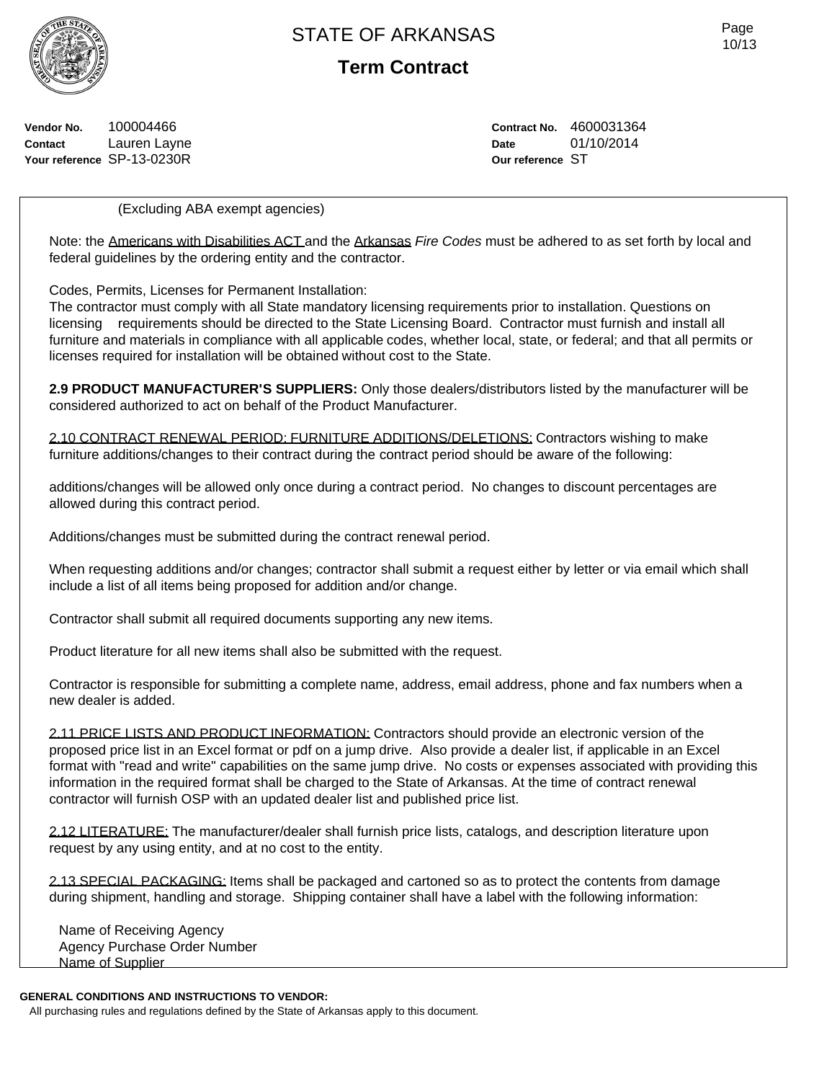**Term Contract**

Page 10/13

**Vendor No.** 100004466 **Contact** Lauren Layne **Your reference** SP-13-0230R

**Contract No.** 4600031364 **Date** 01/10/2014 **Our reference** ST

(Excluding ABA exempt agencies)

Note: the Americans with Disabilities ACT and the Arkansas *Fire Codes* must be adhered to as set forth by local and federal guidelines by the ordering entity and the contractor.

Codes, Permits, Licenses for Permanent Installation:

The contractor must comply with all State mandatory licensing requirements prior to installation. Questions on licensing requirements should be directed to the State Licensing Board. Contractor must furnish and install all furniture and materials in compliance with all applicable codes, whether local, state, or federal; and that all permits or licenses required for installation will be obtained without cost to the State.

**2.9 PRODUCT MANUFACTURER'S SUPPLIERS:** Only those dealers/distributors listed by the manufacturer will be considered authorized to act on behalf of the Product Manufacturer.

2.10 CONTRACT RENEWAL PERIOD: FURNITURE ADDITIONS/DELETIONS: Contractors wishing to make furniture additions/changes to their contract during the contract period should be aware of the following:

additions/changes will be allowed only once during a contract period. No changes to discount percentages are allowed during this contract period.

Additions/changes must be submitted during the contract renewal period.

When requesting additions and/or changes; contractor shall submit a request either by letter or via email which shall include a list of all items being proposed for addition and/or change.

Contractor shall submit all required documents supporting any new items.

Product literature for all new items shall also be submitted with the request.

Contractor is responsible for submitting a complete name, address, email address, phone and fax numbers when a new dealer is added.

2.11 PRICE LISTS AND PRODUCT INFORMATION: Contractors should provide an electronic version of the proposed price list in an Excel format or pdf on a jump drive. Also provide a dealer list, if applicable in an Excel format with "read and write" capabilities on the same jump drive. No costs or expenses associated with providing this information in the required format shall be charged to the State of Arkansas. At the time of contract renewal contractor will furnish OSP with an updated dealer list and published price list.

2.12 LITERATURE: The manufacturer/dealer shall furnish price lists, catalogs, and description literature upon request by any using entity, and at no cost to the entity.

2.13 SPECIAL PACKAGING: Items shall be packaged and cartoned so as to protect the contents from damage during shipment, handling and storage. Shipping container shall have a label with the following information:

Name of Receiving Agency Agency Purchase Order Number Name of Supplier

#### **GENERAL CONDITIONS AND INSTRUCTIONS TO VENDOR:**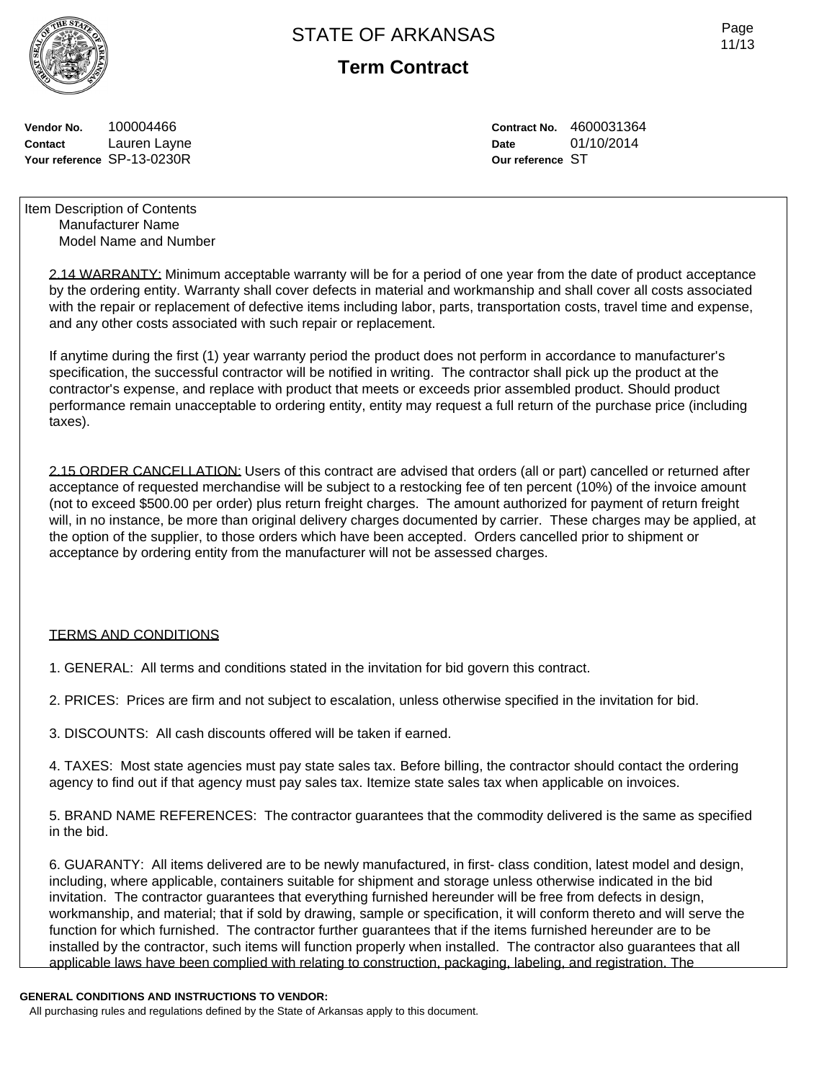

**Term Contract**

Page 11/13

**Vendor No.** 100004466 **Contact** Lauren Layne **Your reference** SP-13-0230R **Contract No.** 4600031364 **Date** 01/10/2014 **Our reference** ST

Item Description of Contents Manufacturer Name Model Name and Number

> 2.14 WARRANTY: Minimum acceptable warranty will be for a period of one year from the date of product acceptance by the ordering entity. Warranty shall cover defects in material and workmanship and shall cover all costs associated with the repair or replacement of defective items including labor, parts, transportation costs, travel time and expense, and any other costs associated with such repair or replacement.

If anytime during the first (1) year warranty period the product does not perform in accordance to manufacturer's specification, the successful contractor will be notified in writing. The contractor shall pick up the product at the contractor's expense, and replace with product that meets or exceeds prior assembled product. Should product performance remain unacceptable to ordering entity, entity may request a full return of the purchase price (including taxes).

2.15 ORDER CANCELLATION: Users of this contract are advised that orders (all or part) cancelled or returned after acceptance of requested merchandise will be subject to a restocking fee of ten percent (10%) of the invoice amount (not to exceed \$500.00 per order) plus return freight charges. The amount authorized for payment of return freight will, in no instance, be more than original delivery charges documented by carrier. These charges may be applied, at the option of the supplier, to those orders which have been accepted. Orders cancelled prior to shipment or acceptance by ordering entity from the manufacturer will not be assessed charges.

#### TERMS AND CONDITIONS

1. GENERAL: All terms and conditions stated in the invitation for bid govern this contract.

2. PRICES: Prices are firm and not subject to escalation, unless otherwise specified in the invitation for bid.

3. DISCOUNTS: All cash discounts offered will be taken if earned.

4. TAXES: Most state agencies must pay state sales tax. Before billing, the contractor should contact the ordering agency to find out if that agency must pay sales tax. Itemize state sales tax when applicable on invoices.

5. BRAND NAME REFERENCES: The contractor guarantees that the commodity delivered is the same as specified in the bid.

6. GUARANTY: All items delivered are to be newly manufactured, in first- class condition, latest model and design, including, where applicable, containers suitable for shipment and storage unless otherwise indicated in the bid invitation. The contractor guarantees that everything furnished hereunder will be free from defects in design, workmanship, and material; that if sold by drawing, sample or specification, it will conform thereto and will serve the function for which furnished. The contractor further guarantees that if the items furnished hereunder are to be installed by the contractor, such items will function properly when installed. The contractor also guarantees that all applicable laws have been complied with relating to construction, packaging, labeling, and registration. The

#### **GENERAL CONDITIONS AND INSTRUCTIONS TO VENDOR:**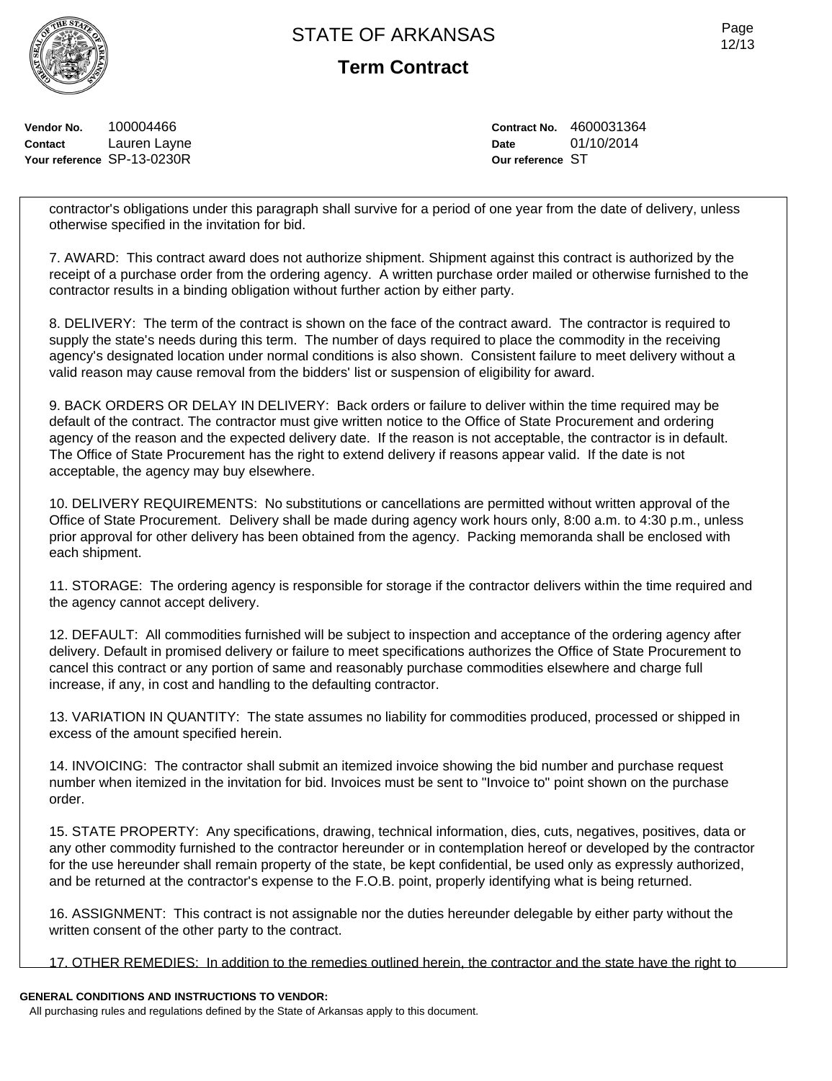**Vendor No.** 100004466 **Contact** Lauren Layne **Your reference** SP-13-0230R **Term Contract**

**Contract No.** 4600031364 **Date** 01/10/2014 **Our reference** ST

contractor's obligations under this paragraph shall survive for a period of one year from the date of delivery, unless otherwise specified in the invitation for bid.

7. AWARD: This contract award does not authorize shipment. Shipment against this contract is authorized by the receipt of a purchase order from the ordering agency. A written purchase order mailed or otherwise furnished to the contractor results in a binding obligation without further action by either party.

8. DELIVERY: The term of the contract is shown on the face of the contract award. The contractor is required to supply the state's needs during this term. The number of days required to place the commodity in the receiving agency's designated location under normal conditions is also shown. Consistent failure to meet delivery without a valid reason may cause removal from the bidders' list or suspension of eligibility for award.

9. BACK ORDERS OR DELAY IN DELIVERY: Back orders or failure to deliver within the time required may be default of the contract. The contractor must give written notice to the Office of State Procurement and ordering agency of the reason and the expected delivery date. If the reason is not acceptable, the contractor is in default. The Office of State Procurement has the right to extend delivery if reasons appear valid. If the date is not acceptable, the agency may buy elsewhere.

10. DELIVERY REQUIREMENTS: No substitutions or cancellations are permitted without written approval of the Office of State Procurement. Delivery shall be made during agency work hours only, 8:00 a.m. to 4:30 p.m., unless prior approval for other delivery has been obtained from the agency. Packing memoranda shall be enclosed with each shipment.

11. STORAGE: The ordering agency is responsible for storage if the contractor delivers within the time required and the agency cannot accept delivery.

12. DEFAULT: All commodities furnished will be subject to inspection and acceptance of the ordering agency after delivery. Default in promised delivery or failure to meet specifications authorizes the Office of State Procurement to cancel this contract or any portion of same and reasonably purchase commodities elsewhere and charge full increase, if any, in cost and handling to the defaulting contractor.

13. VARIATION IN QUANTITY: The state assumes no liability for commodities produced, processed or shipped in excess of the amount specified herein.

14. INVOICING: The contractor shall submit an itemized invoice showing the bid number and purchase request number when itemized in the invitation for bid. Invoices must be sent to "Invoice to" point shown on the purchase order.

15. STATE PROPERTY: Any specifications, drawing, technical information, dies, cuts, negatives, positives, data or any other commodity furnished to the contractor hereunder or in contemplation hereof or developed by the contractor for the use hereunder shall remain property of the state, be kept confidential, be used only as expressly authorized, and be returned at the contractor's expense to the F.O.B. point, properly identifying what is being returned.

16. ASSIGNMENT: This contract is not assignable nor the duties hereunder delegable by either party without the written consent of the other party to the contract.

17. OTHER REMEDIES: In addition to the remedies outlined herein, the contractor and the state have the right to

### **GENERAL CONDITIONS AND INSTRUCTIONS TO VENDOR:**